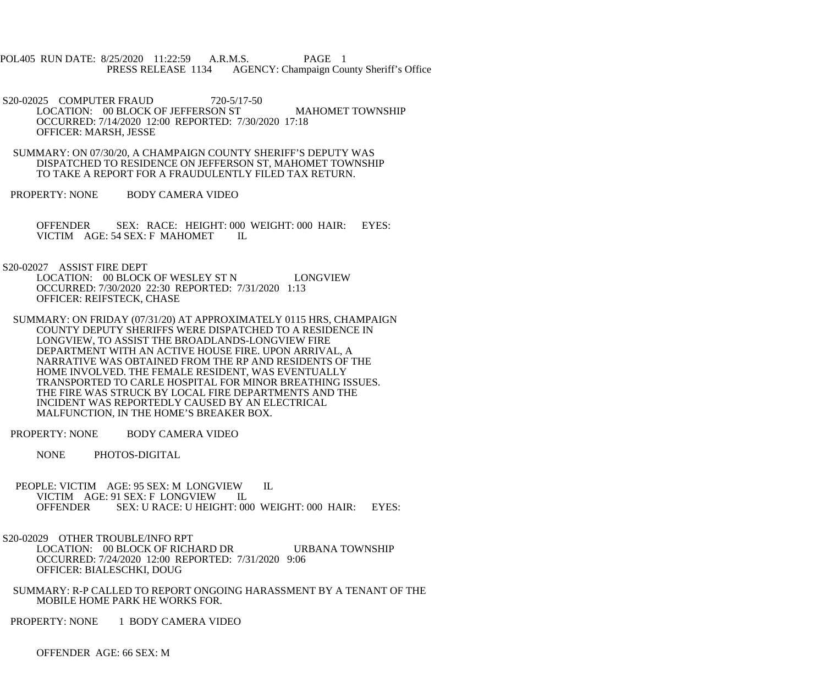POL405 RUN DATE: 8/25/2020 11:22:59 A.R.M.S. PAGE 1 PRESS RELEASE 1134 AGENCY: Champaign County Sheriff's Office

S20-02025 COMPUTER FRAUD 720-5/17-50 LOCATION: 00 BLOCK OF JEFFERSON ST MAHOMET TOWNSHIP OCCURRED: 7/14/2020 12:00 REPORTED: 7/30/2020 17:18 OFFICER: MARSH, JESSE

 SUMMARY: ON 07/30/20, A CHAMPAIGN COUNTY SHERIFF'S DEPUTY WAS DISPATCHED TO RESIDENCE ON JEFFERSON ST, MAHOMET TOWNSHIP TO TAKE A REPORT FOR A FRAUDULENTLY FILED TAX RETURN.

PROPERTY: NONE BODY CAMERA VIDEO

 OFFENDER SEX: RACE: HEIGHT: 000 WEIGHT: 000 HAIR: EYES: VICTIM AGE: 54 SEX: F MAHOMET IL

S20-02027 ASSIST FIRE DEPT

LOCATION: 00 BLOCK OF WESLEY ST N LONGVIEW OCCURRED: 7/30/2020 22:30 REPORTED: 7/31/2020 1:13 OFFICER: REIFSTECK, CHASE

 SUMMARY: ON FRIDAY (07/31/20) AT APPROXIMATELY 0115 HRS, CHAMPAIGN COUNTY DEPUTY SHERIFFS WERE DISPATCHED TO A RESIDENCE IN LONGVIEW, TO ASSIST THE BROADLANDS-LONGVIEW FIRE DEPARTMENT WITH AN ACTIVE HOUSE FIRE. UPON ARRIVAL, A NARRATIVE WAS OBTAINED FROM THE RP AND RESIDENTS OF THE HOME INVOLVED. THE FEMALE RESIDENT, WAS EVENTUALLY TRANSPORTED TO CARLE HOSPITAL FOR MINOR BREATHING ISSUES. THE FIRE WAS STRUCK BY LOCAL FIRE DEPARTMENTS AND THE INCIDENT WAS REPORTEDLY CAUSED BY AN ELECTRICAL MALFUNCTION, IN THE HOME'S BREAKER BOX.

PROPERTY: NONE BODY CAMERA VIDEO

NONE PHOTOS-DIGITAL

 PEOPLE: VICTIM AGE: 95 SEX: M LONGVIEW IL VICTIM AGE: 91 SEX: F LONGVIEW<br>OFFENDER SEX: U RACE: U HEIC SEX: U RACE: U HEIGHT: 000 WEIGHT: 000 HAIR: EYES:

 S20-02029 OTHER TROUBLE/INFO RPT LOCATION: 00 BLOCK OF RICHARD DR URBANA TOWNSHIP OCCURRED: 7/24/2020 12:00 REPORTED: 7/31/2020 9:06 OFFICER: BIALESCHKI, DOUG

 SUMMARY: R-P CALLED TO REPORT ONGOING HARASSMENT BY A TENANT OF THE MOBILE HOME PARK HE WORKS FOR.

PROPERTY: NONE 1 BODY CAMERA VIDEO

OFFENDER AGE: 66 SEX: M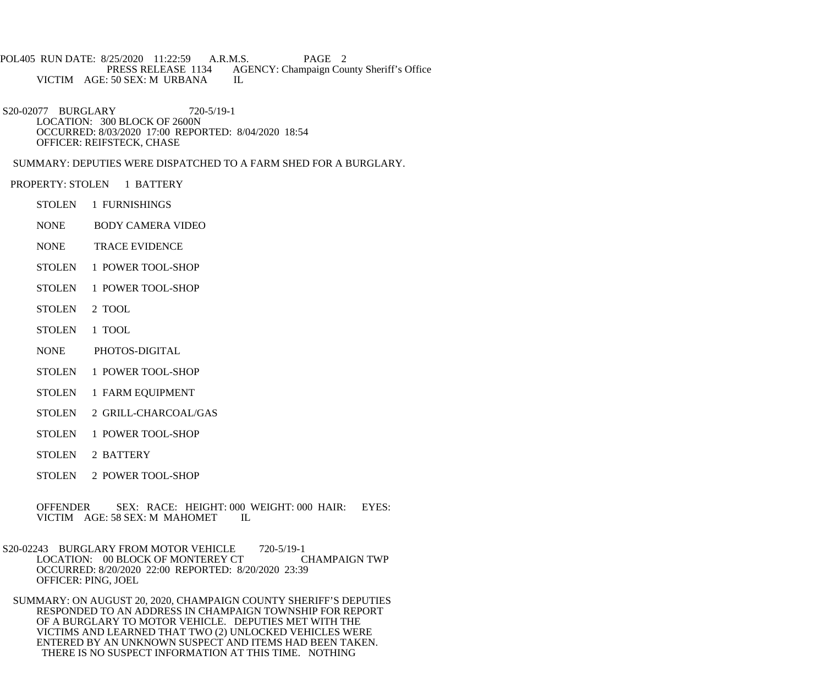POL405 RUN DATE: 8/25/2020 11:22:59 A.R.M.S. PAGE 2<br>PRESS RELEASE 1134 AGENCY: Champaign Cou AGENCY: Champaign County Sheriff's Office VICTIM AGE: 50 SEX: M URBANA IL

 S20-02077 BURGLARY 720-5/19-1 LOCATION: 300 BLOCK OF 2600N OCCURRED: 8/03/2020 17:00 REPORTED: 8/04/2020 18:54 OFFICER: REIFSTECK, CHASE

SUMMARY: DEPUTIES WERE DISPATCHED TO A FARM SHED FOR A BURGLARY.

- PROPERTY: STOLEN 1 BATTERY
	- STOLEN 1 FURNISHINGS
	- NONE BODY CAMERA VIDEO
	- NONE TRACE EVIDENCE
	- STOLEN 1 POWER TOOL-SHOP
	- STOLEN 1 POWER TOOL-SHOP
	- STOLEN 2 TOOL
	- STOLEN 1 TOOL
	- NONE PHOTOS-DIGITAL
	- STOLEN 1 POWER TOOL-SHOP
	- STOLEN 1 FARM EQUIPMENT
	- STOLEN 2 GRILL-CHARCOAL/GAS
	- STOLEN 1 POWER TOOL-SHOP
	- STOLEN 2 BATTERY
	- STOLEN 2 POWER TOOL-SHOP

 OFFENDER SEX: RACE: HEIGHT: 000 WEIGHT: 000 HAIR: EYES: VICTIM AGE: 58 SEX: M MAHOMET IL

S20-02243 BURGLARY FROM MOTOR VEHICLE 720-5/19-1<br>LOCATION: 00 BLOCK OF MONTEREY CT CHAMPAIGN TWP LOCATION: 00 BLOCK OF MONTEREY CT OCCURRED: 8/20/2020 22:00 REPORTED: 8/20/2020 23:39 OFFICER: PING, JOEL

 SUMMARY: ON AUGUST 20, 2020, CHAMPAIGN COUNTY SHERIFF'S DEPUTIES RESPONDED TO AN ADDRESS IN CHAMPAIGN TOWNSHIP FOR REPORT OF A BURGLARY TO MOTOR VEHICLE. DEPUTIES MET WITH THE VICTIMS AND LEARNED THAT TWO (2) UNLOCKED VEHICLES WERE ENTERED BY AN UNKNOWN SUSPECT AND ITEMS HAD BEEN TAKEN. THERE IS NO SUSPECT INFORMATION AT THIS TIME. NOTHING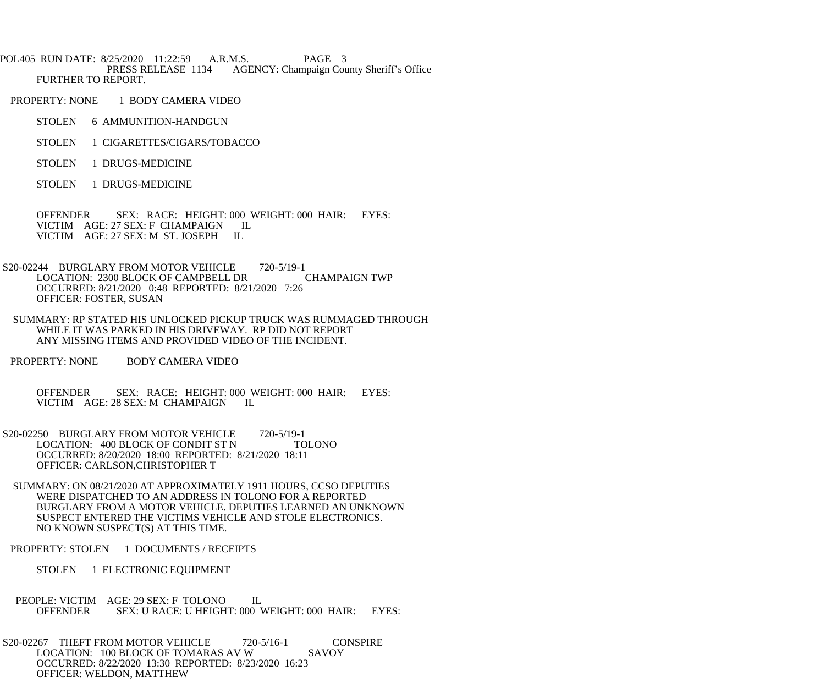POL405 RUN DATE: 8/25/2020 11:22:59 A.R.M.S. PAGE 3<br>PRESS RELEASE 1134 AGENCY: Champaign Cou AGENCY: Champaign County Sheriff's Office FURTHER TO REPORT.

PROPERTY: NONE 1 BODY CAMERA VIDEO

STOLEN 6 AMMUNITION-HANDGUN

- STOLEN 1 CIGARETTES/CIGARS/TOBACCO
- STOLEN 1 DRUGS-MEDICINE

STOLEN 1 DRUGS-MEDICINE

OFFENDER SEX: RACE: HEIGHT: 000 WEIGHT: 000 HAIR: EYES: VICTIM AGE: 27 SEX: F CHAMPAIGN IL VICTIM AGE: 27 SEX: F CHAMPAIGN I<br>VICTIM AGE: 27 SEX: M ST JOSEPH IL VICTIM AGE: 27 SEX: M ST. JOSEPH

- S20-02244 BURGLARY FROM MOTOR VEHICLE 720-5/19-1 LOCATION: 2300 BLOCK OF CAMPBELL DR OCCURRED: 8/21/2020 0:48 REPORTED: 8/21/2020 7:26 OFFICER: FOSTER, SUSAN
- SUMMARY: RP STATED HIS UNLOCKED PICKUP TRUCK WAS RUMMAGED THROUGH WHILE IT WAS PARKED IN HIS DRIVEWAY. RP DID NOT REPORT ANY MISSING ITEMS AND PROVIDED VIDEO OF THE INCIDENT.
- PROPERTY: NONE BODY CAMERA VIDEO

 OFFENDER SEX: RACE: HEIGHT: 000 WEIGHT: 000 HAIR: EYES: VICTIM AGE: 28 SEX: M CHAMPAIGN IL

- S20-02250 BURGLARY FROM MOTOR VEHICLE 720-5/19-1<br>LOCATION: 400 BLOCK OF CONDIT ST N TOLONO LOCATION: 400 BLOCK OF CONDIT ST N OCCURRED: 8/20/2020 18:00 REPORTED: 8/21/2020 18:11 OFFICER: CARLSON,CHRISTOPHER T
	- SUMMARY: ON 08/21/2020 AT APPROXIMATELY 1911 HOURS, CCSO DEPUTIES WERE DISPATCHED TO AN ADDRESS IN TOLONO FOR A REPORTED BURGLARY FROM A MOTOR VEHICLE. DEPUTIES LEARNED AN UNKNOWN SUSPECT ENTERED THE VICTIMS VEHICLE AND STOLE ELECTRONICS. NO KNOWN SUSPECT(S) AT THIS TIME.
- PROPERTY: STOLEN 1 DOCUMENTS / RECEIPTS

STOLEN 1 ELECTRONIC EQUIPMENT

- PEOPLE: VICTIM AGE: 29 SEX: F TOLONO IL<br>OFFENDER SEX: U RACE: U HEIGHT: 000 V SEX: U RACE: U HEIGHT: 000 WEIGHT: 000 HAIR: EYES:
- S20-02267 THEFT FROM MOTOR VEHICLE 720-5/16-1 CONSPIRE LOCATION: 100 BLOCK OF TOMARAS AV W SAVOY OCCURRED: 8/22/2020 13:30 REPORTED: 8/23/2020 16:23 OFFICER: WELDON, MATTHEW